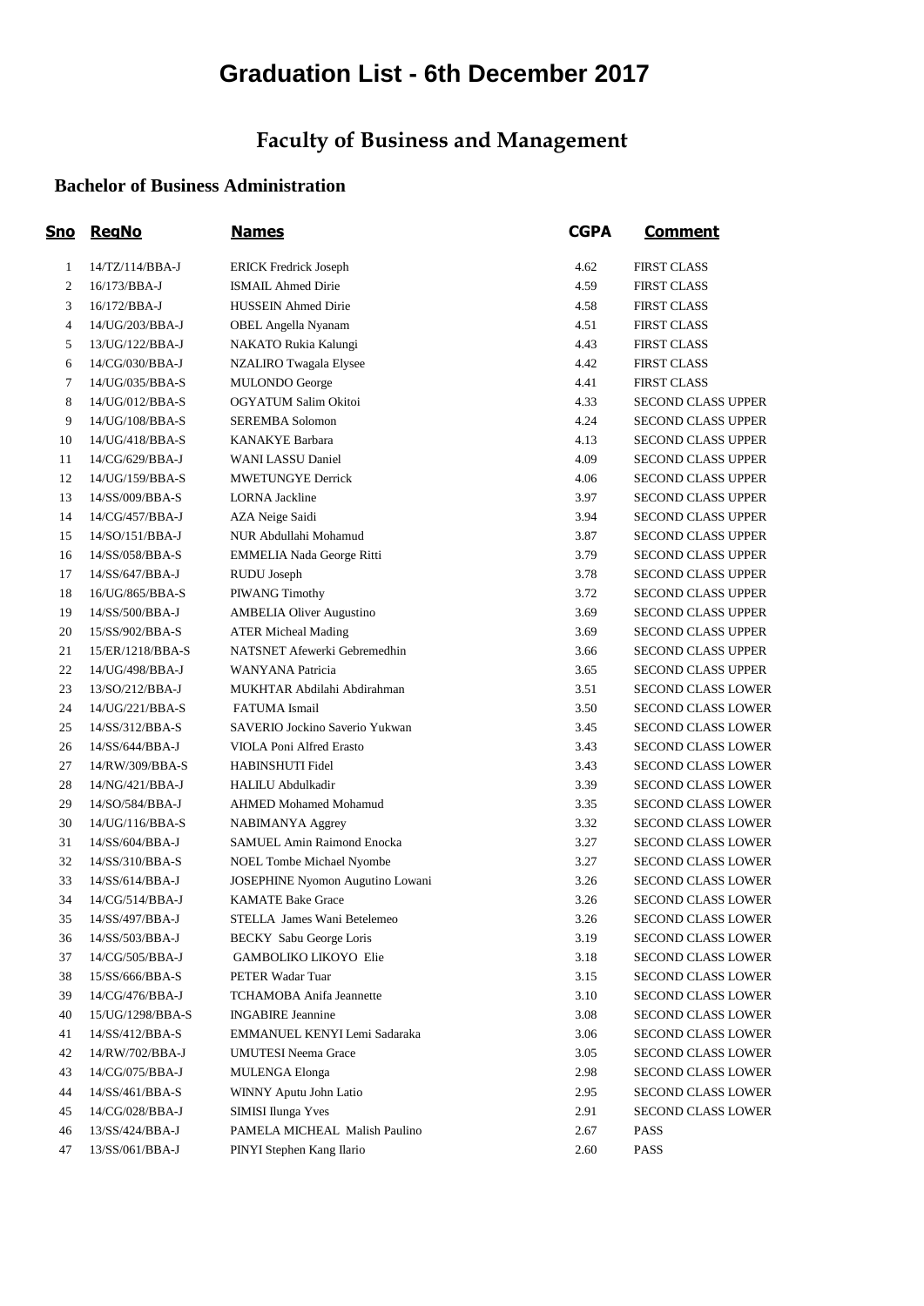# **Graduation List - 6th December 2017**

## **Faculty of Business and Management**

#### **Bachelor of Business Administration**

| <u>Sno</u>     | <b>RegNo</b>     | <u>Names</u>                     | <b>CGPA</b> | <u>Comment</u>            |
|----------------|------------------|----------------------------------|-------------|---------------------------|
| $\mathbf{1}$   | 14/TZ/114/BBA-J  | <b>ERICK Fredrick Joseph</b>     | 4.62        | <b>FIRST CLASS</b>        |
| $\mathfrak{2}$ | 16/173/BBA-J     | <b>ISMAIL Ahmed Dirie</b>        | 4.59        | <b>FIRST CLASS</b>        |
| 3              | 16/172/BBA-J     | <b>HUSSEIN Ahmed Dirie</b>       | 4.58        | <b>FIRST CLASS</b>        |
| 4              | 14/UG/203/BBA-J  | OBEL Angella Nyanam              | 4.51        | <b>FIRST CLASS</b>        |
| 5              | 13/UG/122/BBA-J  | NAKATO Rukia Kalungi             | 4.43        | <b>FIRST CLASS</b>        |
| 6              | 14/CG/030/BBA-J  | NZALIRO Twagala Elysee           | 4.42        | <b>FIRST CLASS</b>        |
| 7              | 14/UG/035/BBA-S  | MULONDO George                   | 4.41        | <b>FIRST CLASS</b>        |
| 8              | 14/UG/012/BBA-S  | OGYATUM Salim Okitoi             | 4.33        | <b>SECOND CLASS UPPER</b> |
| 9              | 14/UG/108/BBA-S  | <b>SEREMBA Solomon</b>           | 4.24        | <b>SECOND CLASS UPPER</b> |
| 10             | 14/UG/418/BBA-S  | <b>KANAKYE Barbara</b>           | 4.13        | <b>SECOND CLASS UPPER</b> |
| 11             | 14/CG/629/BBA-J  | WANI LASSU Daniel                | 4.09        | <b>SECOND CLASS UPPER</b> |
| 12             | 14/UG/159/BBA-S  | <b>MWETUNGYE Derrick</b>         | 4.06        | <b>SECOND CLASS UPPER</b> |
| 13             | 14/SS/009/BBA-S  | <b>LORNA</b> Jackline            | 3.97        | <b>SECOND CLASS UPPER</b> |
| 14             | 14/CG/457/BBA-J  | AZA Neige Saidi                  | 3.94        | <b>SECOND CLASS UPPER</b> |
| 15             | 14/SO/151/BBA-J  | NUR Abdullahi Mohamud            | 3.87        | <b>SECOND CLASS UPPER</b> |
| 16             | 14/SS/058/BBA-S  | EMMELIA Nada George Ritti        | 3.79        | <b>SECOND CLASS UPPER</b> |
| 17             | 14/SS/647/BBA-J  | RUDU Joseph                      | 3.78        | <b>SECOND CLASS UPPER</b> |
| 18             | 16/UG/865/BBA-S  | PIWANG Timothy                   | 3.72        | <b>SECOND CLASS UPPER</b> |
| 19             | 14/SS/500/BBA-J  | <b>AMBELIA Oliver Augustino</b>  | 3.69        | <b>SECOND CLASS UPPER</b> |
| 20             | 15/SS/902/BBA-S  | <b>ATER Micheal Mading</b>       | 3.69        | <b>SECOND CLASS UPPER</b> |
| 21             | 15/ER/1218/BBA-S | NATSNET Afewerki Gebremedhin     | 3.66        | <b>SECOND CLASS UPPER</b> |
| 22             | 14/UG/498/BBA-J  | WANYANA Patricia                 | 3.65        | <b>SECOND CLASS UPPER</b> |
| 23             | 13/SO/212/BBA-J  | MUKHTAR Abdilahi Abdirahman      | 3.51        | <b>SECOND CLASS LOWER</b> |
| 24             | 14/UG/221/BBA-S  | FATUMA Ismail                    | 3.50        | <b>SECOND CLASS LOWER</b> |
| 25             | 14/SS/312/BBA-S  | SAVERIO Jockino Saverio Yukwan   | 3.45        | <b>SECOND CLASS LOWER</b> |
| 26             | 14/SS/644/BBA-J  | VIOLA Poni Alfred Erasto         | 3.43        | <b>SECOND CLASS LOWER</b> |
| 27             | 14/RW/309/BBA-S  | HABINSHUTI Fidel                 | 3.43        | <b>SECOND CLASS LOWER</b> |
| 28             | 14/NG/421/BBA-J  | <b>HALILU Abdulkadir</b>         | 3.39        | <b>SECOND CLASS LOWER</b> |
| 29             | 14/SO/584/BBA-J  | <b>AHMED Mohamed Mohamud</b>     | 3.35        | SECOND CLASS LOWER        |
| 30             | 14/UG/116/BBA-S  | NABIMANYA Aggrey                 | 3.32        | <b>SECOND CLASS LOWER</b> |
| 31             | 14/SS/604/BBA-J  | SAMUEL Amin Raimond Enocka       | 3.27        | <b>SECOND CLASS LOWER</b> |
| 32             | 14/SS/310/BBA-S  | NOEL Tombe Michael Nyombe        | 3.27        | <b>SECOND CLASS LOWER</b> |
| 33             | 14/SS/614/BBA-J  | JOSEPHINE Nyomon Augutino Lowani | 3.26        | <b>SECOND CLASS LOWER</b> |
| 34             | 14/CG/514/BBA-J  | <b>KAMATE Bake Grace</b>         | 3.26        | <b>SECOND CLASS LOWER</b> |
| 35             | 14/SS/497/BBA-J  | STELLA James Wani Betelemeo      | 3.26        | <b>SECOND CLASS LOWER</b> |
| 36             | 14/SS/503/BBA-J  | BECKY Sabu George Loris          | 3.19        | SECOND CLASS LOWER        |
| 37             | 14/CG/505/BBA-J  | GAMBOLIKO LIKOYO Elie            | 3.18        | <b>SECOND CLASS LOWER</b> |
| 38             | 15/SS/666/BBA-S  | PETER Wadar Tuar                 | 3.15        | <b>SECOND CLASS LOWER</b> |
| 39             | 14/CG/476/BBA-J  | TCHAMOBA Anifa Jeannette         | 3.10        | <b>SECOND CLASS LOWER</b> |
| 40             | 15/UG/1298/BBA-S | <b>INGABIRE</b> Jeannine         | 3.08        | <b>SECOND CLASS LOWER</b> |
| 41             | 14/SS/412/BBA-S  | EMMANUEL KENYI Lemi Sadaraka     | 3.06        | <b>SECOND CLASS LOWER</b> |
| 42             | 14/RW/702/BBA-J  | <b>UMUTESI Neema Grace</b>       | 3.05        | SECOND CLASS LOWER        |
| 43             | 14/CG/075/BBA-J  | <b>MULENGA Elonga</b>            | 2.98        | SECOND CLASS LOWER        |
| 44             | 14/SS/461/BBA-S  | WINNY Aputu John Latio           | 2.95        | SECOND CLASS LOWER        |
| 45             | 14/CG/028/BBA-J  | SIMISI Ilunga Yves               | 2.91        | <b>SECOND CLASS LOWER</b> |
| 46             | 13/SS/424/BBA-J  | PAMELA MICHEAL Malish Paulino    | 2.67        | <b>PASS</b>               |
| 47             | 13/SS/061/BBA-J  | PINYI Stephen Kang Ilario        | 2.60        | <b>PASS</b>               |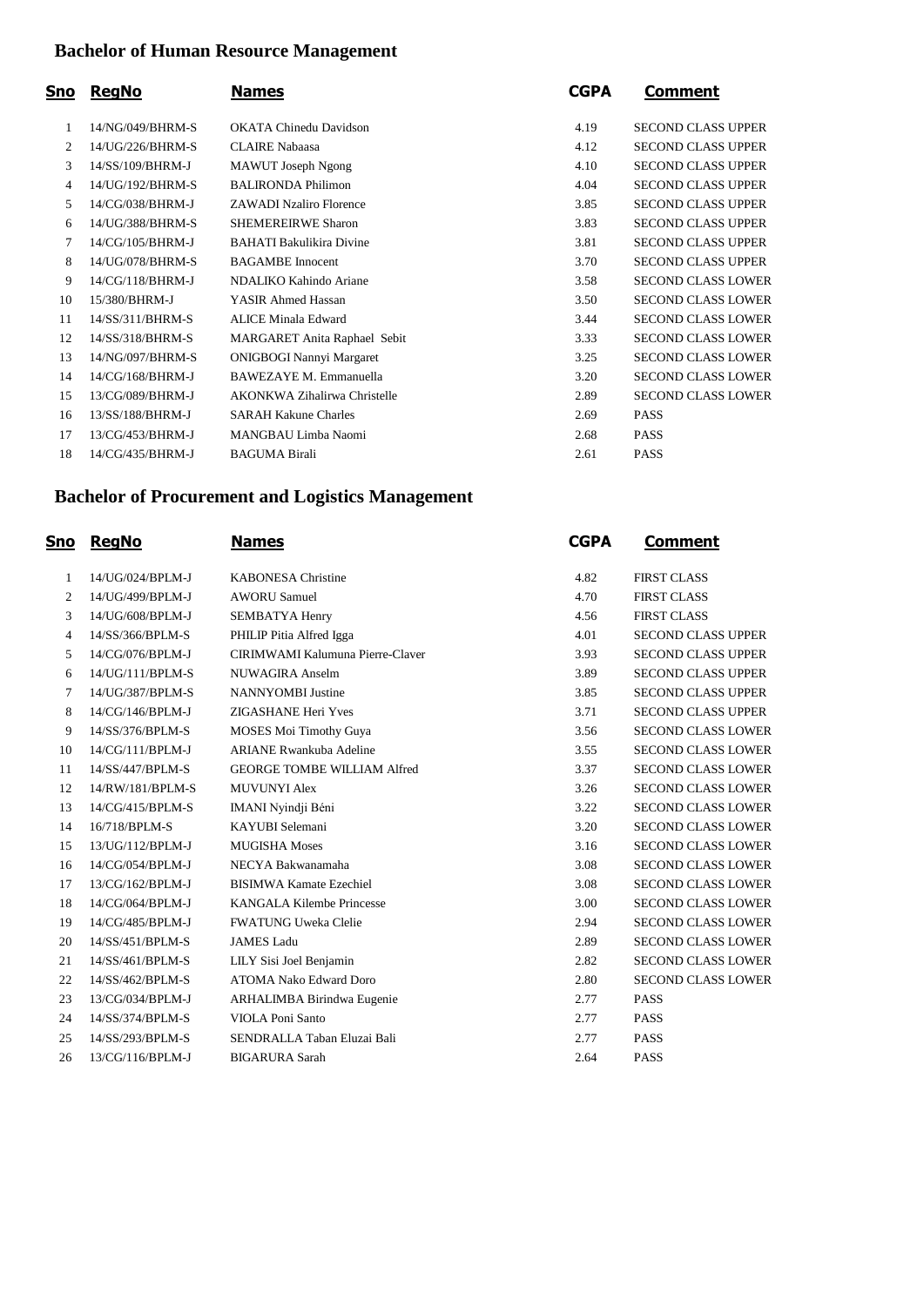## **Bachelor of Human Resource Management**

| Sno | <b>RegNo</b>     | <b>Names</b>                    | <b>CGPA</b> | Comment                   |
|-----|------------------|---------------------------------|-------------|---------------------------|
| 1   | 14/NG/049/BHRM-S | <b>OKATA Chinedu Davidson</b>   | 4.19        | <b>SECOND CLASS UPPER</b> |
| 2   | 14/UG/226/BHRM-S | <b>CLAIRE Nabaasa</b>           | 4.12        | <b>SECOND CLASS UPPER</b> |
| 3   | 14/SS/109/BHRM-J | MAWUT Joseph Ngong              | 4.10        | <b>SECOND CLASS UPPER</b> |
| 4   | 14/UG/192/BHRM-S | <b>BALIRONDA Philimon</b>       | 4.04        | <b>SECOND CLASS UPPER</b> |
| 5   | 14/CG/038/BHRM-J | <b>ZAWADI Nzaliro Florence</b>  | 3.85        | <b>SECOND CLASS UPPER</b> |
| 6   | 14/UG/388/BHRM-S | <b>SHEMEREIRWE Sharon</b>       | 3.83        | <b>SECOND CLASS UPPER</b> |
| 7   | 14/CG/105/BHRM-J | <b>BAHATI Bakulikira Divine</b> | 3.81        | <b>SECOND CLASS UPPER</b> |
| 8   | 14/UG/078/BHRM-S | <b>BAGAMBE</b> Innocent         | 3.70        | <b>SECOND CLASS UPPER</b> |
| 9   | 14/CG/118/BHRM-J | NDALIKO Kahindo Ariane          | 3.58        | <b>SECOND CLASS LOWER</b> |
| 10  | 15/380/BHRM-J    | YASIR Ahmed Hassan              | 3.50        | <b>SECOND CLASS LOWER</b> |
| 11  | 14/SS/311/BHRM-S | <b>ALICE Minala Edward</b>      | 3.44        | <b>SECOND CLASS LOWER</b> |
| 12  | 14/SS/318/BHRM-S | MARGARET Anita Raphael Sebit    | 3.33        | <b>SECOND CLASS LOWER</b> |
| 13  | 14/NG/097/BHRM-S | <b>ONIGBOGI Nannyi Margaret</b> | 3.25        | <b>SECOND CLASS LOWER</b> |
| 14  | 14/CG/168/BHRM-J | <b>BAWEZAYE M. Emmanuella</b>   | 3.20        | <b>SECOND CLASS LOWER</b> |
| 15  | 13/CG/089/BHRM-J | AKONKWA Zihalirwa Christelle    | 2.89        | <b>SECOND CLASS LOWER</b> |
| 16  | 13/SS/188/BHRM-J | <b>SARAH Kakune Charles</b>     | 2.69        | <b>PASS</b>               |
| 17  | 13/CG/453/BHRM-J | MANGBAU Limba Naomi             | 2.68        | <b>PASS</b>               |
| 18  | 14/CG/435/BHRM-J | <b>BAGUMA Birali</b>            | 2.61        | <b>PASS</b>               |
|     |                  |                                 |             |                           |

### **Bachelor of Procurement and Logistics Management**

| <u>Sno</u> | <b>RegNo</b>     | <b>Names</b>                       | <b>CGPA</b> | <u>Comment</u>            |
|------------|------------------|------------------------------------|-------------|---------------------------|
| 1          | 14/UG/024/BPLM-J | <b>KABONESA Christine</b>          | 4.82        | <b>FIRST CLASS</b>        |
| 2          | 14/UG/499/BPLM-J | <b>AWORU Samuel</b>                | 4.70        | <b>FIRST CLASS</b>        |
| 3          | 14/UG/608/BPLM-J | SEMBATYA Henry                     | 4.56        | <b>FIRST CLASS</b>        |
| 4          | 14/SS/366/BPLM-S | PHILIP Pitia Alfred Igga           | 4.01        | <b>SECOND CLASS UPPER</b> |
| 5          | 14/CG/076/BPLM-J | CIRIMWAMI Kalumuna Pierre-Claver   | 3.93        | <b>SECOND CLASS UPPER</b> |
| 6          | 14/UG/111/BPLM-S | <b>NUWAGIRA Anselm</b>             | 3.89        | <b>SECOND CLASS UPPER</b> |
| 7          | 14/UG/387/BPLM-S | <b>NANNYOMBI</b> Justine           | 3.85        | <b>SECOND CLASS UPPER</b> |
| 8          | 14/CG/146/BPLM-J | ZIGASHANE Heri Yves                | 3.71        | <b>SECOND CLASS UPPER</b> |
| 9          | 14/SS/376/BPLM-S | <b>MOSES Moi Timothy Guya</b>      | 3.56        | <b>SECOND CLASS LOWER</b> |
| 10         | 14/CG/111/BPLM-J | <b>ARIANE Rwankuba Adeline</b>     | 3.55        | <b>SECOND CLASS LOWER</b> |
| 11         | 14/SS/447/BPLM-S | <b>GEORGE TOMBE WILLIAM Alfred</b> | 3.37        | <b>SECOND CLASS LOWER</b> |
| 12         | 14/RW/181/BPLM-S | <b>MUVUNYI Alex</b>                | 3.26        | <b>SECOND CLASS LOWER</b> |
| 13         | 14/CG/415/BPLM-S | IMANI Nyindji Béni                 | 3.22        | <b>SECOND CLASS LOWER</b> |
| 14         | 16/718/BPLM-S    | KAYUBI Selemani                    | 3.20        | <b>SECOND CLASS LOWER</b> |
| 15         | 13/UG/112/BPLM-J | <b>MUGISHA Moses</b>               | 3.16        | <b>SECOND CLASS LOWER</b> |
| 16         | 14/CG/054/BPLM-J | NECYA Bakwanamaha                  | 3.08        | <b>SECOND CLASS LOWER</b> |
| 17         | 13/CG/162/BPLM-J | <b>BISIMWA Kamate Ezechiel</b>     | 3.08        | <b>SECOND CLASS LOWER</b> |
| 18         | 14/CG/064/BPLM-J | <b>KANGALA Kilembe Princesse</b>   | 3.00        | <b>SECOND CLASS LOWER</b> |
| 19         | 14/CG/485/BPLM-J | <b>FWATUNG Uweka Clelie</b>        | 2.94        | <b>SECOND CLASS LOWER</b> |
| 20         | 14/SS/451/BPLM-S | <b>JAMES Ladu</b>                  | 2.89        | <b>SECOND CLASS LOWER</b> |
| 21         | 14/SS/461/BPLM-S | LILY Sisi Joel Benjamin            | 2.82        | <b>SECOND CLASS LOWER</b> |
| 22         | 14/SS/462/BPLM-S | <b>ATOMA Nako Edward Doro</b>      | 2.80        | <b>SECOND CLASS LOWER</b> |
| 23         | 13/CG/034/BPLM-J | <b>ARHALIMBA Birindwa Eugenie</b>  | 2.77        | <b>PASS</b>               |
| 24         | 14/SS/374/BPLM-S | <b>VIOLA Poni Santo</b>            | 2.77        | <b>PASS</b>               |
| 25         | 14/SS/293/BPLM-S | SENDRALLA Taban Eluzai Bali        | 2.77        | <b>PASS</b>               |
| 26         | 13/CG/116/BPLM-J | <b>BIGARURA Sarah</b>              | 2.64        | <b>PASS</b>               |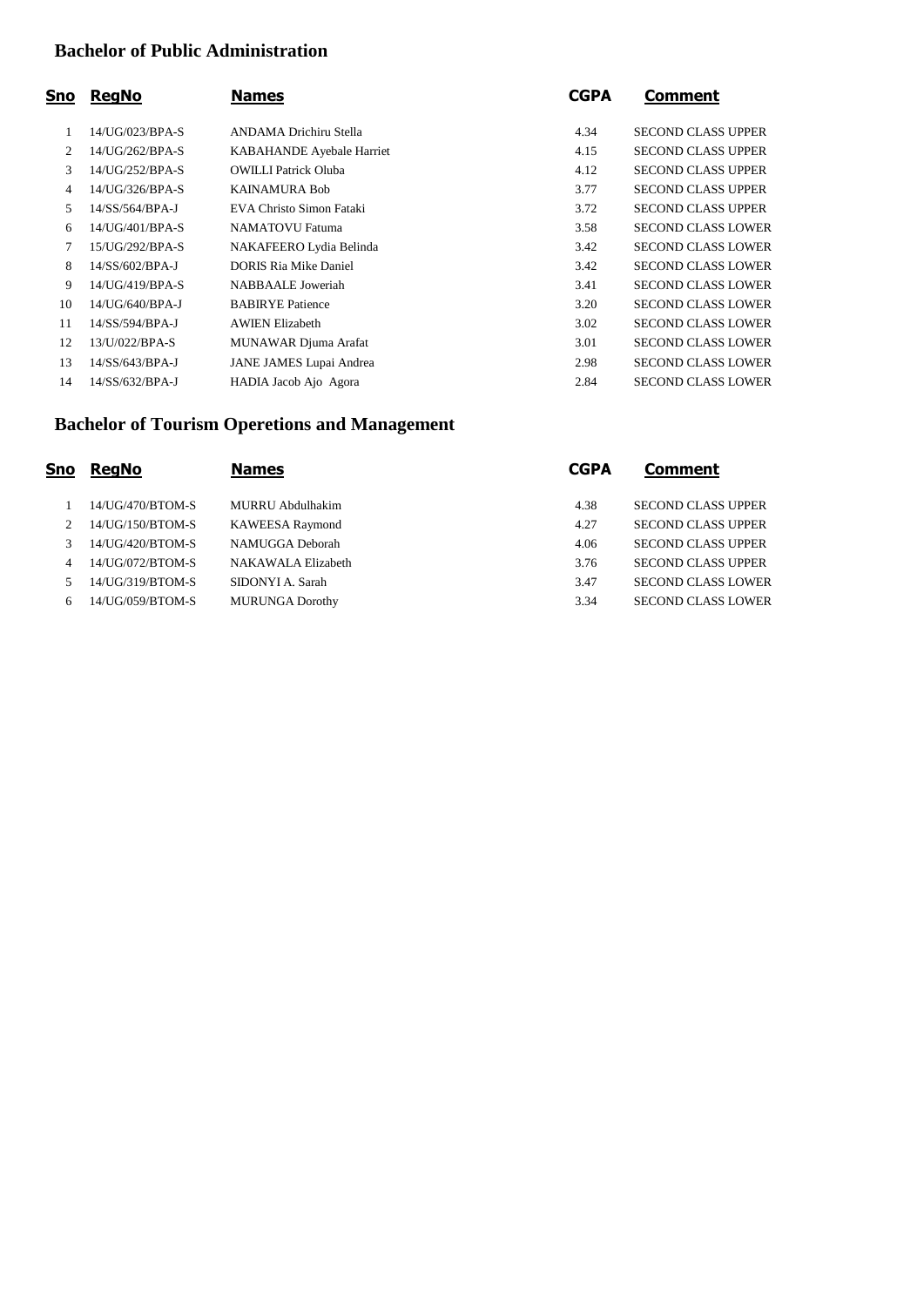#### **Bachelor of Public Administration**

| Sno | <b>RegNo</b>    | <b>Names</b>                 | <b>CGPA</b> | <b>Comment</b>            |
|-----|-----------------|------------------------------|-------------|---------------------------|
|     | 14/UG/023/BPA-S | ANDAMA Drichiru Stella       | 4.34        | <b>SECOND CLASS UPPER</b> |
| 2   | 14/UG/262/BPA-S | KABAHANDE Ayebale Harriet    | 4.15        | <b>SECOND CLASS UPPER</b> |
| 3   | 14/UG/252/BPA-S | <b>OWILLI Patrick Oluba</b>  | 4.12        | <b>SECOND CLASS UPPER</b> |
| 4   | 14/UG/326/BPA-S | <b>KAINAMURA Bob</b>         | 3.77        | <b>SECOND CLASS UPPER</b> |
| 5.  | 14/SS/564/BPA-J | EVA Christo Simon Fataki     | 3.72        | <b>SECOND CLASS UPPER</b> |
| 6   | 14/UG/401/BPA-S | <b>NAMATOVU Fatuma</b>       | 3.58        | <b>SECOND CLASS LOWER</b> |
| 7   | 15/UG/292/BPA-S | NAKAFEERO Lydia Belinda      | 3.42        | <b>SECOND CLASS LOWER</b> |
| 8   | 14/SS/602/BPA-J | <b>DORIS Ria Mike Daniel</b> | 3.42        | <b>SECOND CLASS LOWER</b> |
| 9   | 14/UG/419/BPA-S | <b>NABBAALE</b> Joweriah     | 3.41        | <b>SECOND CLASS LOWER</b> |
| 10  | 14/UG/640/BPA-J | <b>BABIRYE Patience</b>      | 3.20        | <b>SECOND CLASS LOWER</b> |
| 11  | 14/SS/594/BPA-J | <b>AWIEN Elizabeth</b>       | 3.02        | <b>SECOND CLASS LOWER</b> |
| 12  | 13/U/022/BPA-S  | MUNAWAR Djuma Arafat         | 3.01        | <b>SECOND CLASS LOWER</b> |
| 13  | 14/SS/643/BPA-J | JANE JAMES Lupai Andrea      | 2.98        | <b>SECOND CLASS LOWER</b> |
| 14  | 14/SS/632/BPA-J | HADIA Jacob Ajo Agora        | 2.84        | <b>SECOND CLASS LOWER</b> |

### **Bachelor of Tourism Operetions and Management**

| Sno | <b>ReaNo</b>     | <b>Names</b>           | <b>CGPA</b> | <b>Comment</b>            |
|-----|------------------|------------------------|-------------|---------------------------|
|     | 14/UG/470/BTOM-S | MURRU Abdulhakim       | 4.38        | <b>SECOND CLASS UPPER</b> |
|     | 14/UG/150/BTOM-S | <b>KAWEESA Raymond</b> | 4.27        | <b>SECOND CLASS UPPER</b> |
|     | 14/UG/420/BTOM-S | NAMUGGA Deborah        | 4.06        | <b>SECOND CLASS UPPER</b> |
|     | 14/UG/072/BTOM-S | NAKAWALA Elizabeth     | 3.76        | <b>SECOND CLASS UPPER</b> |
|     | 14/UG/319/BTOM-S | SIDONYI A. Sarah       | 3.47        | <b>SECOND CLASS LOWER</b> |
| 6   | 14/UG/059/BTOM-S | <b>MURUNGA Dorothy</b> | 3.34        | <b>SECOND CLASS LOWER</b> |
|     |                  |                        |             |                           |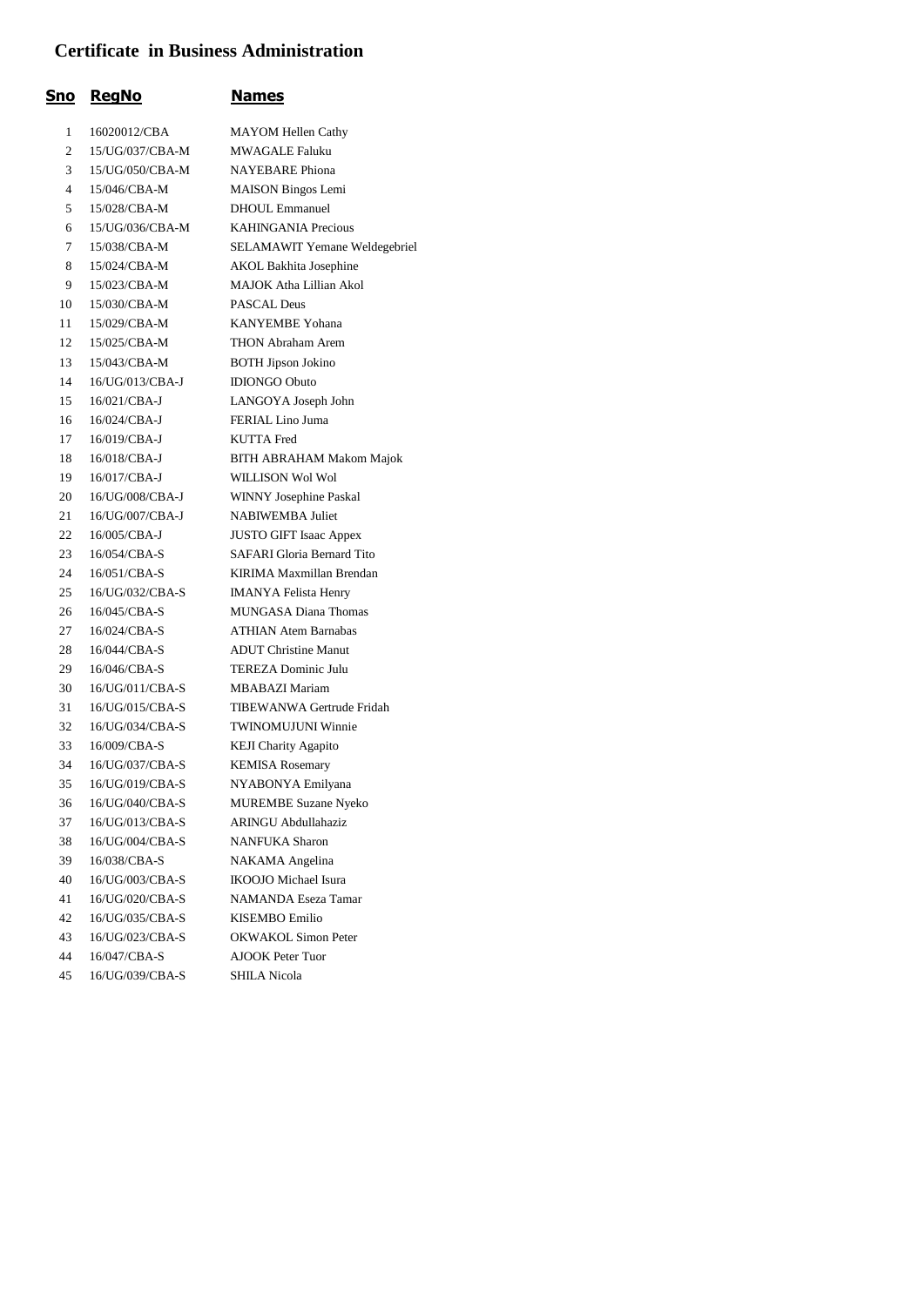#### **Certificate in Business Administration**

| <u>Sno</u>     | <b>RegNo</b>    | <b>Names</b>                      |
|----------------|-----------------|-----------------------------------|
| 1              | 16020012/CBA    | <b>MAYOM Hellen Cathy</b>         |
| 2              | 15/UG/037/CBA-M | MWAGALE Faluku                    |
| 3              | 15/UG/050/CBA-M | <b>NAYEBARE</b> Phiona            |
| $\overline{4}$ | 15/046/CBA-M    | <b>MAISON Bingos Lemi</b>         |
| 5              | 15/028/CBA-M    | <b>DHOUL Emmanuel</b>             |
| 6              | 15/UG/036/CBA-M | <b>KAHINGANIA Precious</b>        |
| 7              | 15/038/CBA-M    | SELAMAWIT Yemane Weldegebriel     |
| 8              | 15/024/CBA-M    | <b>AKOL Bakhita Josephine</b>     |
| 9              | 15/023/CBA-M    | MAJOK Atha Lillian Akol           |
| 10             | 15/030/CBA-M    | PASCAL Deus                       |
| 11             | 15/029/CBA-M    | <b>KANYEMBE Yohana</b>            |
| 12             | 15/025/CBA-M    | THON Abraham Arem                 |
| 13             | 15/043/CBA-M    | <b>BOTH Jipson Jokino</b>         |
| 14             | 16/UG/013/CBA-J | <b>IDIONGO Obuto</b>              |
| 15             | 16/021/CBA-J    | LANGOYA Joseph John               |
| 16             | 16/024/CBA-J    | FERIAL Lino Juma                  |
| 17             | 16/019/CBA-J    | <b>KUTTA Fred</b>                 |
| 18             | 16/018/CBA-J    | <b>BITH ABRAHAM Makom Majok</b>   |
| 19             | 16/017/CBA-J    | WILLISON Wol Wol                  |
| 20             | 16/UG/008/CBA-J | WINNY Josephine Paskal            |
| 21             | 16/UG/007/CBA-J | <b>NABIWEMBA</b> Juliet           |
| 22             | 16/005/CBA-J    | <b>JUSTO GIFT Isaac Appex</b>     |
| 23             | 16/054/CBA-S    | <b>SAFARI</b> Gloria Bernard Tito |
| 24             | 16/051/CBA-S    | KIRIMA Maxmillan Brendan          |
| 25             | 16/UG/032/CBA-S | <b>IMANYA Felista Henry</b>       |
| 26             | 16/045/CBA-S    | <b>MUNGASA Diana Thomas</b>       |
| 27             | 16/024/CBA-S    | <b>ATHIAN Atem Barnabas</b>       |
| 28             | 16/044/CBA-S    | <b>ADUT Christine Manut</b>       |
| 29             | 16/046/CBA-S    | TEREZA Dominic Julu               |
| 30             | 16/UG/011/CBA-S | <b>MBABAZI Mariam</b>             |
| 31             | 16/UG/015/CBA-S | TIBEWANWA Gertrude Fridah         |
| 32             | 16/UG/034/CBA-S | <b>TWINOMUJUNI Winnie</b>         |
| 33             | 16/009/CBA-S    | <b>KEJI Charity Agapito</b>       |
| 34             | 16/UG/037/CBA-S | <b>KEMISA Rosemary</b>            |
| 35             | 16/UG/019/CBA-S | NYABONYA Emilyana                 |
| 36             | 16/UG/040/CBA-S | <b>MUREMBE Suzane Nyeko</b>       |
| 37             | 16/UG/013/CBA-S | ARINGU Abdullahaziz               |
| 38             | 16/UG/004/CBA-S | <b>NANFUKA Sharon</b>             |
| 39             | 16/038/CBA-S    | NAKAMA Angelina                   |
| 40             | 16/UG/003/CBA-S | <b>IKOOJO</b> Michael Isura       |
| 41             | 16/UG/020/CBA-S | <b>NAMANDA Eseza Tamar</b>        |
| 42             | 16/UG/035/CBA-S | KISEMBO Emilio                    |
| 43             | 16/UG/023/CBA-S | <b>OKWAKOL Simon Peter</b>        |
| 44             | 16/047/CBA-S    | <b>AJOOK Peter Tuor</b>           |
| 45             | 16/UG/039/CBA-S | SHILA Nicola                      |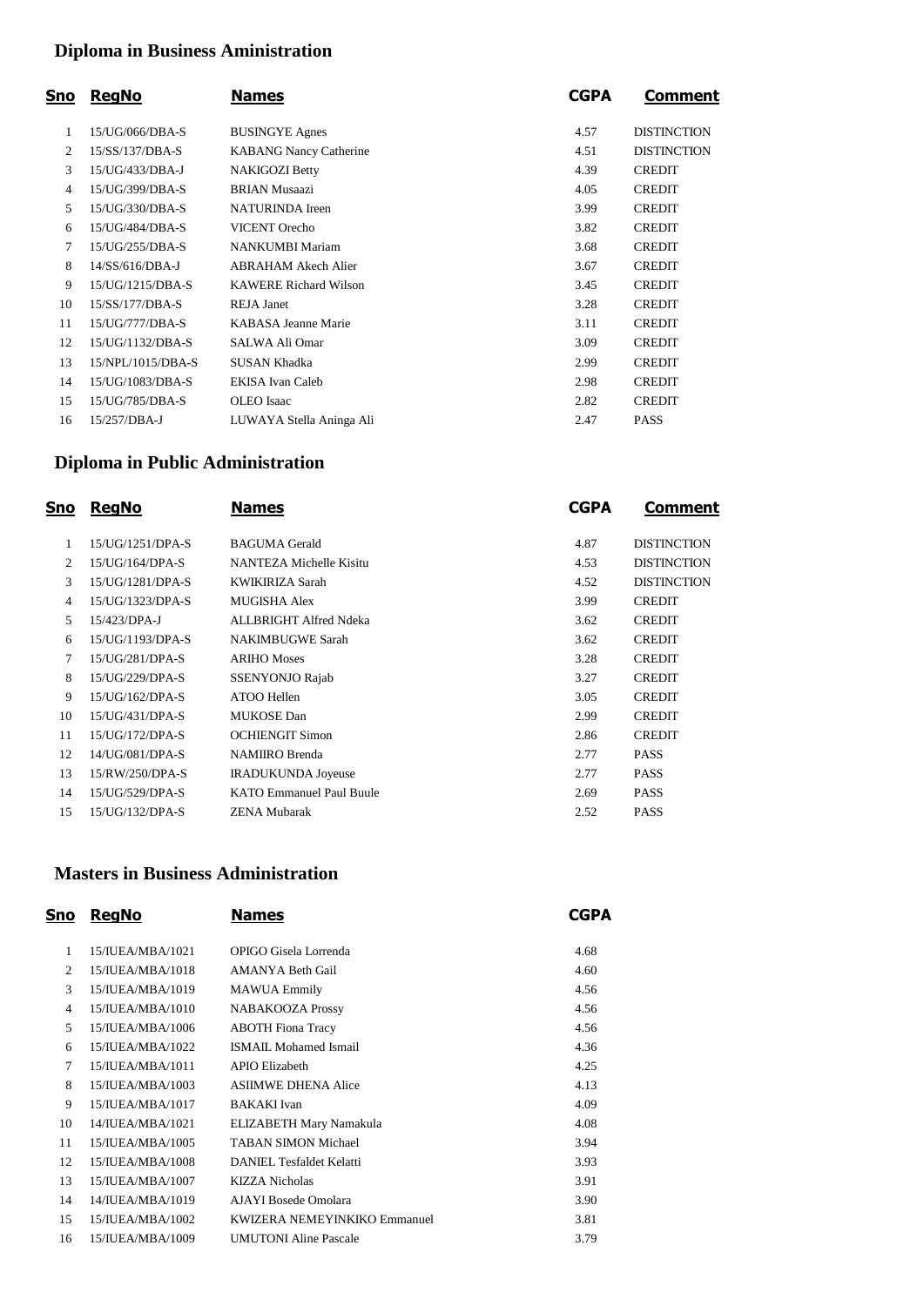### **Diploma in Business Aministration**

| Sno            | <b>RegNo</b>      | <b>Names</b>                  | <b>CGPA</b> | Comment            |
|----------------|-------------------|-------------------------------|-------------|--------------------|
| 1              | 15/UG/066/DBA-S   | <b>BUSINGYE Agnes</b>         | 4.57        | <b>DISTINCTION</b> |
| $\overline{2}$ | 15/SS/137/DBA-S   | <b>KABANG Nancy Catherine</b> | 4.51        | <b>DISTINCTION</b> |
| 3              | 15/UG/433/DBA-J   | <b>NAKIGOZI Betty</b>         | 4.39        | <b>CREDIT</b>      |
| 4              | 15/UG/399/DBA-S   | <b>BRIAN Musaazi</b>          | 4.05        | <b>CREDIT</b>      |
| 5              | 15/UG/330/DBA-S   | <b>NATURINDA</b> Ireen        | 3.99        | <b>CREDIT</b>      |
| 6              | 15/UG/484/DBA-S   | <b>VICENT</b> Orecho          | 3.82        | <b>CREDIT</b>      |
| 7              | 15/UG/255/DBA-S   | <b>NANKUMBI Mariam</b>        | 3.68        | <b>CREDIT</b>      |
| 8              | 14/SS/616/DBA-J   | ABRAHAM Akech Alier           | 3.67        | <b>CREDIT</b>      |
| 9              | 15/UG/1215/DBA-S  | <b>KAWERE Richard Wilson</b>  | 3.45        | <b>CREDIT</b>      |
| 10             | 15/SS/177/DBA-S   | <b>REJA Janet</b>             | 3.28        | <b>CREDIT</b>      |
| 11             | 15/UG/777/DBA-S   | KABASA Jeanne Marie           | 3.11        | <b>CREDIT</b>      |
| 12             | 15/UG/1132/DBA-S  | SALWA Ali Omar                | 3.09        | <b>CREDIT</b>      |
| 13             | 15/NPL/1015/DBA-S | SUSAN Khadka                  | 2.99        | <b>CREDIT</b>      |
| 14             | 15/UG/1083/DBA-S  | EKISA Ivan Caleb              | 2.98        | <b>CREDIT</b>      |
| 15             | 15/UG/785/DBA-S   | <b>OLEO</b> Isaac             | 2.82        | <b>CREDIT</b>      |
| 16             | 15/257/DBA-J      | LUWAYA Stella Aninga Ali      | 2.47        | <b>PASS</b>        |
|                |                   |                               |             |                    |

### **Diploma in Public Administration**

| Sno | <b>ReaNo</b>     | <b>Names</b>                    | <b>CGPA</b> | Comment            |
|-----|------------------|---------------------------------|-------------|--------------------|
| 1   | 15/UG/1251/DPA-S | <b>BAGUMA</b> Gerald            | 4.87        | <b>DISTINCTION</b> |
| 2   | 15/UG/164/DPA-S  | NANTEZA Michelle Kisitu         | 4.53        | <b>DISTINCTION</b> |
| 3   | 15/UG/1281/DPA-S | <b>KWIKIRIZA Sarah</b>          | 4.52        | <b>DISTINCTION</b> |
| 4   | 15/UG/1323/DPA-S | <b>MUGISHA Alex</b>             | 3.99        | <b>CREDIT</b>      |
| 5   | 15/423/DPA-J     | ALLBRIGHT Alfred Ndeka          | 3.62        | <b>CREDIT</b>      |
| 6   | 15/UG/1193/DPA-S | <b>NAKIMBUGWE Sarah</b>         | 3.62        | <b>CREDIT</b>      |
| 7   | 15/UG/281/DPA-S  | <b>ARIHO Moses</b>              | 3.28        | <b>CREDIT</b>      |
| 8   | 15/UG/229/DPA-S  | <b>SSENYONJO Rajab</b>          | 3.27        | <b>CREDIT</b>      |
| 9   | 15/UG/162/DPA-S  | ATOO Hellen                     | 3.05        | <b>CREDIT</b>      |
| 10  | 15/UG/431/DPA-S  | <b>MUKOSE</b> Dan               | 2.99        | <b>CREDIT</b>      |
| 11  | 15/UG/172/DPA-S  | <b>OCHIENGIT Simon</b>          | 2.86        | <b>CREDIT</b>      |
| 12  | 14/UG/081/DPA-S  | <b>NAMIIRO</b> Brenda           | 2.77        | <b>PASS</b>        |
| 13  | 15/RW/250/DPA-S  | <b>IRADUKUNDA Joyeuse</b>       | 2.77        | <b>PASS</b>        |
| 14  | 15/UG/529/DPA-S  | <b>KATO Emmanuel Paul Buule</b> | 2.69        | <b>PASS</b>        |
| 15  | 15/UG/132/DPA-S  | <b>ZENA Mubarak</b>             | 2.52        | <b>PASS</b>        |

#### **Masters in Business Administration**

| Sno | <b>RegNo</b>                 | <b>Names</b>                 | <b>CGPA</b> |
|-----|------------------------------|------------------------------|-------------|
| 1   | 15/IUEA/MBA/1021             | OPIGO Gisela Lorrenda        | 4.68        |
| 2   | 15/IUEA/MBA/1018             | <b>AMANYA Beth Gail</b>      | 4.60        |
| 3   | 15/IUEA/MBA/1019             | <b>MAWUA Emmily</b>          | 4.56        |
| 4   | 15/IUEA/MBA/1010             | <b>NABAKOOZA Prossy</b>      | 4.56        |
| 5   | 15/IUEA/MBA/1006             | <b>ABOTH Fiona Tracy</b>     | 4.56        |
| 6   | 15/IUEA/MBA/1022             | ISMAIL Mohamed Ismail        | 4.36        |
| 7   | $15/\mathrm{H}$ JEA/MBA/1011 | <b>APIO Elizabeth</b>        | 4.25        |
| 8   | 15/IUEA/MBA/1003             | <b>ASIIMWE DHENA Alice</b>   | 4.13        |
| 9   | 15/IUEA/MBA/1017             | <b>BAKAKI</b> Ivan           | 4.09        |
| 10  | 14/IUEA/MBA/1021             | ELIZABETH Mary Namakula      | 4.08        |
| 11  | 15/IUEA/MBA/1005             | <b>TABAN SIMON Michael</b>   | 3.94        |
| 12  | $15/\mathrm{H}$ JEA/MBA/1008 | DANIEL Tesfaldet Kelatti     | 3.93        |
| 13  | 15/IUEA/MBA/1007             | KIZZA Nicholas               | 3.91        |
| 14  | $14/II$ JEA/MBA/1019         | AJAYI Bosede Omolara         | 3.90        |
| 15  | 15/IUEA/MBA/1002             | KWIZERA NEMEYINKIKO Emmanuel | 3.81        |
| 16  | 15/IUEA/MBA/1009             | <b>UMUTONI</b> Aline Pascale | 3.79        |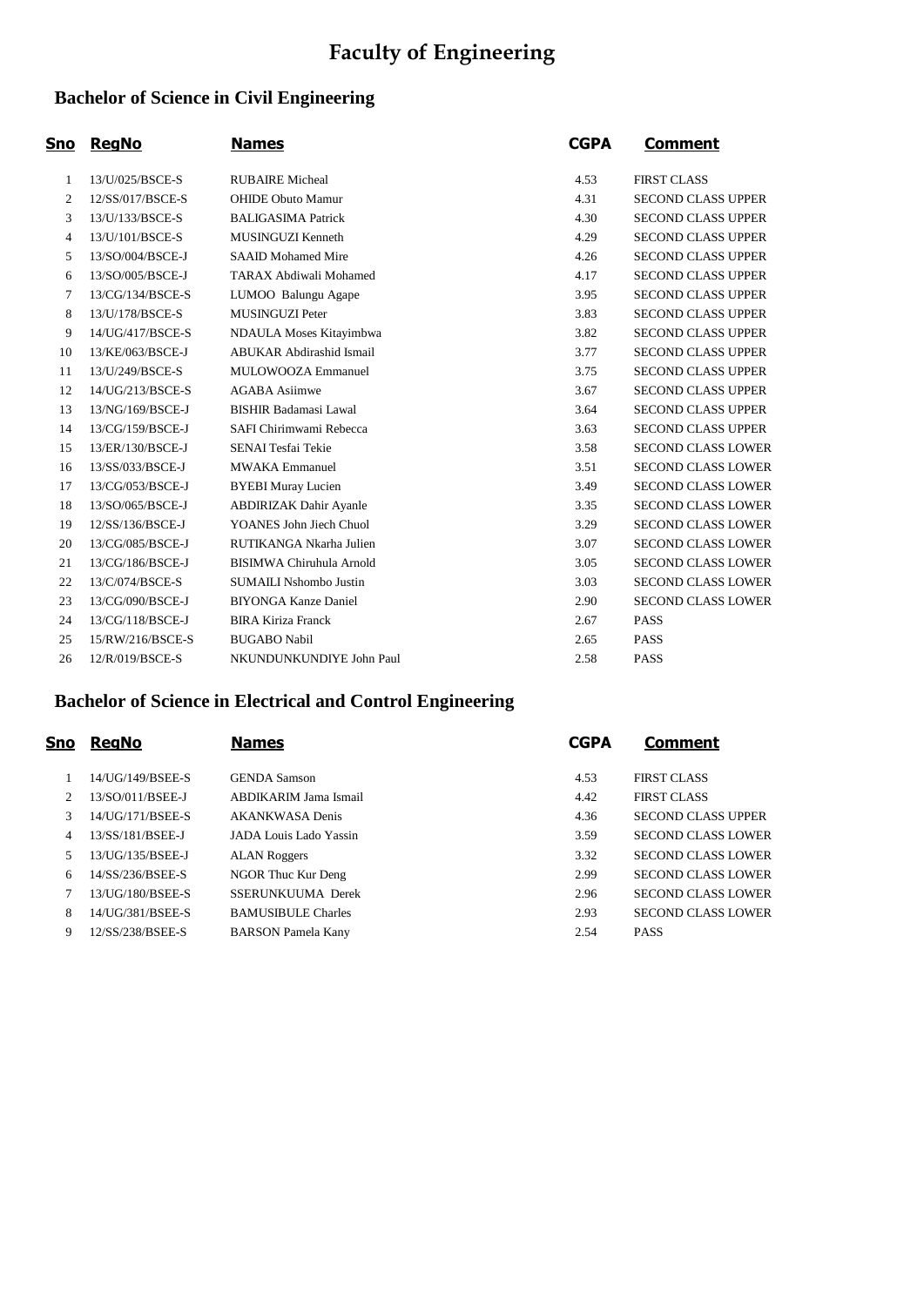# **Faculty of Engineering**

### **Bachelor of Science in Civil Engineering**

| <u>Sno</u> | <b>RegNo</b>     | <b>Names</b>                    | <b>CGPA</b> | <u>Comment</u>            |
|------------|------------------|---------------------------------|-------------|---------------------------|
| 1          | 13/U/025/BSCE-S  | <b>RUBAIRE</b> Micheal          | 4.53        | <b>FIRST CLASS</b>        |
| 2          | 12/SS/017/BSCE-S | <b>OHIDE Obuto Mamur</b>        | 4.31        | <b>SECOND CLASS UPPER</b> |
| 3          | 13/U/133/BSCE-S  | <b>BALIGASIMA Patrick</b>       | 4.30        | <b>SECOND CLASS UPPER</b> |
| 4          | 13/U/101/BSCE-S  | MUSINGUZI Kenneth               | 4.29        | <b>SECOND CLASS UPPER</b> |
| 5          | 13/SO/004/BSCE-J | <b>SAAID Mohamed Mire</b>       | 4.26        | <b>SECOND CLASS UPPER</b> |
| 6          | 13/SO/005/BSCE-J | <b>TARAX Abdiwali Mohamed</b>   | 4.17        | <b>SECOND CLASS UPPER</b> |
| 7          | 13/CG/134/BSCE-S | LUMOO Balungu Agape             | 3.95        | <b>SECOND CLASS UPPER</b> |
| 8          | 13/U/178/BSCE-S  | <b>MUSINGUZI Peter</b>          | 3.83        | <b>SECOND CLASS UPPER</b> |
| 9          | 14/UG/417/BSCE-S | NDAULA Moses Kitayimbwa         | 3.82        | <b>SECOND CLASS UPPER</b> |
| 10         | 13/KE/063/BSCE-J | <b>ABUKAR Abdirashid Ismail</b> | 3.77        | <b>SECOND CLASS UPPER</b> |
| 11         | 13/U/249/BSCE-S  | MULOWOOZA Emmanuel              | 3.75        | <b>SECOND CLASS UPPER</b> |
| 12         | 14/UG/213/BSCE-S | <b>AGABA</b> Asiimwe            | 3.67        | <b>SECOND CLASS UPPER</b> |
| 13         | 13/NG/169/BSCE-J | <b>BISHIR Badamasi Lawal</b>    | 3.64        | <b>SECOND CLASS UPPER</b> |
| 14         | 13/CG/159/BSCE-J | SAFI Chirimwami Rebecca         | 3.63        | <b>SECOND CLASS UPPER</b> |
| 15         | 13/ER/130/BSCE-J | SENAI Tesfai Tekie              | 3.58        | <b>SECOND CLASS LOWER</b> |
| 16         | 13/SS/033/BSCE-J | <b>MWAKA Emmanuel</b>           | 3.51        | <b>SECOND CLASS LOWER</b> |
| 17         | 13/CG/053/BSCE-J | <b>BYEBI Muray Lucien</b>       | 3.49        | <b>SECOND CLASS LOWER</b> |
| 18         | 13/SO/065/BSCE-J | <b>ABDIRIZAK Dahir Ayanle</b>   | 3.35        | <b>SECOND CLASS LOWER</b> |
| 19         | 12/SS/136/BSCE-J | YOANES John Jiech Chuol         | 3.29        | <b>SECOND CLASS LOWER</b> |
| 20         | 13/CG/085/BSCE-J | RUTIKANGA Nkarha Julien         | 3.07        | <b>SECOND CLASS LOWER</b> |
| 21         | 13/CG/186/BSCE-J | <b>BISIMWA Chiruhula Arnold</b> | 3.05        | <b>SECOND CLASS LOWER</b> |
| 22         | 13/C/074/BSCE-S  | <b>SUMAILI Nshombo Justin</b>   | 3.03        | <b>SECOND CLASS LOWER</b> |
| 23         | 13/CG/090/BSCE-J | <b>BIYONGA Kanze Daniel</b>     | 2.90        | <b>SECOND CLASS LOWER</b> |
| 24         | 13/CG/118/BSCE-J | <b>BIRA Kiriza Franck</b>       | 2.67        | <b>PASS</b>               |
| 25         | 15/RW/216/BSCE-S | <b>BUGABO Nabil</b>             | 2.65        | <b>PASS</b>               |
| 26         | 12/R/019/BSCE-S  | NKUNDUNKUNDIYE John Paul        | 2.58        | PASS                      |
|            |                  |                                 |             |                           |

### **Bachelor of Science in Electrical and Control Engineering**

| Sno            | <b>RegNo</b>     | <b>Names</b>              | <b>CGPA</b> | Comment                   |
|----------------|------------------|---------------------------|-------------|---------------------------|
|                | 14/UG/149/BSEE-S | <b>GENDA</b> Samson       | 4.53        | <b>FIRST CLASS</b>        |
| $\mathfrak{D}$ | 13/SO/011/BSEE-J | ABDIKARIM Jama Ismail     | 4.42        | <b>FIRST CLASS</b>        |
| 3              | 14/UG/171/BSEE-S | <b>AKANKWASA Denis</b>    | 4.36        | <b>SECOND CLASS UPPER</b> |
| 4              | 13/SS/181/BSEE-J | JADA Louis Lado Yassin    | 3.59        | <b>SECOND CLASS LOWER</b> |
| 5              | 13/UG/135/BSEE-J | <b>ALAN Roggers</b>       | 3.32        | <b>SECOND CLASS LOWER</b> |
| 6              | 14/SS/236/BSEE-S | NGOR Thuc Kur Deng        | 2.99        | <b>SECOND CLASS LOWER</b> |
|                | 13/UG/180/BSEE-S | SSERUNKUUMA Derek         | 2.96        | <b>SECOND CLASS LOWER</b> |
| 8              | 14/UG/381/BSEE-S | <b>BAMUSIBULE Charles</b> | 2.93        | <b>SECOND CLASS LOWER</b> |
| 9              | 12/SS/238/BSEE-S | <b>BARSON</b> Pamela Kany | 2.54        | <b>PASS</b>               |
|                |                  |                           |             |                           |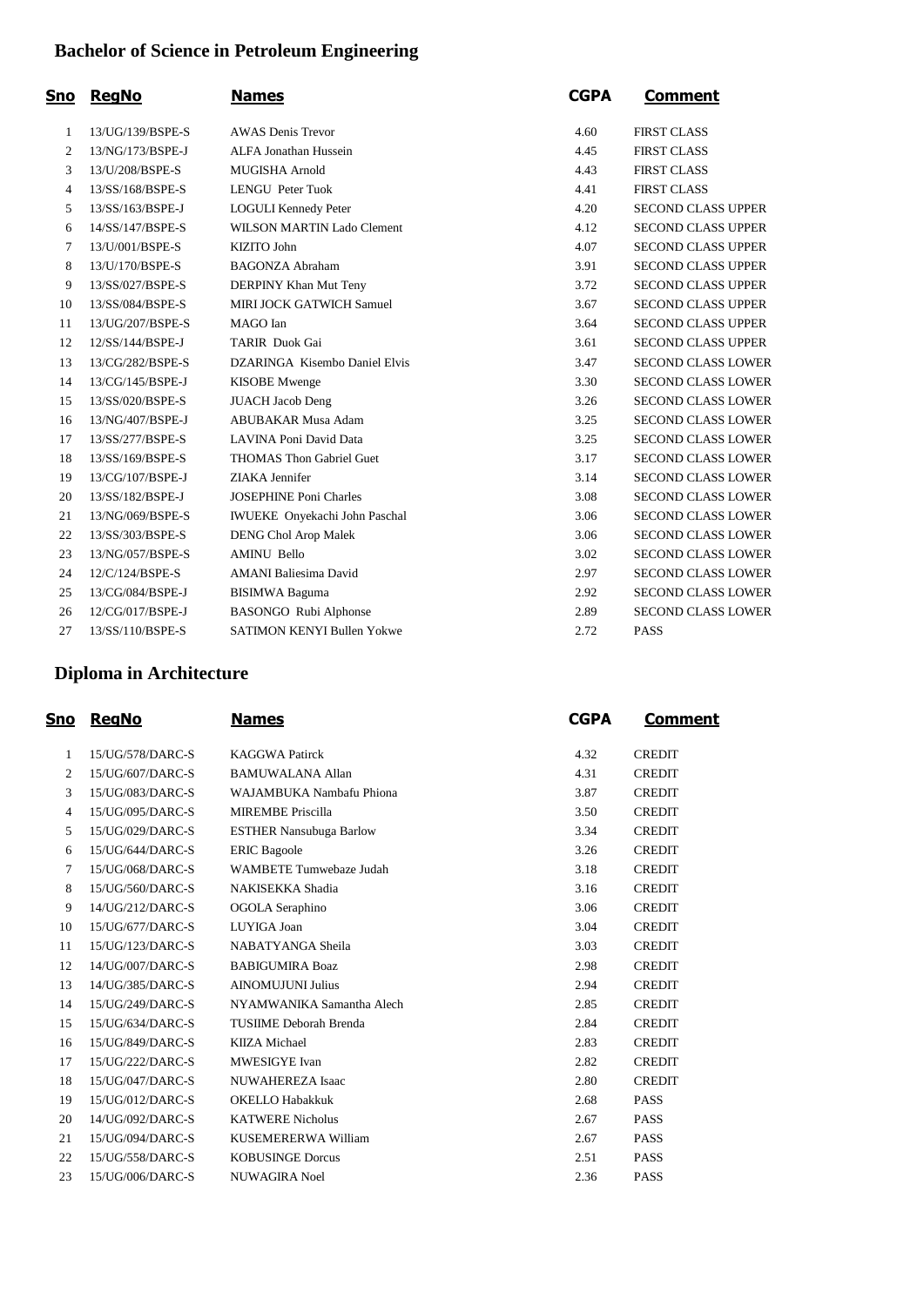## **Bachelor of Science in Petroleum Engineering**

| Sno            | <b>RegNo</b>     | <b>Names</b>                      | <b>CGPA</b> | <b>Comment</b>            |
|----------------|------------------|-----------------------------------|-------------|---------------------------|
| 1              | 13/UG/139/BSPE-S | <b>AWAS</b> Denis Trevor          | 4.60        | <b>FIRST CLASS</b>        |
| $\mathfrak{2}$ | 13/NG/173/BSPE-J | <b>ALFA Jonathan Hussein</b>      | 4.45        | <b>FIRST CLASS</b>        |
| 3              | 13/U/208/BSPE-S  | <b>MUGISHA Arnold</b>             | 4.43        | <b>FIRST CLASS</b>        |
| 4              | 13/SS/168/BSPE-S | LENGU Peter Tuok                  | 4.41        | <b>FIRST CLASS</b>        |
| 5              | 13/SS/163/BSPE-J | <b>LOGULI Kennedy Peter</b>       | 4.20        | <b>SECOND CLASS UPPER</b> |
| 6              | 14/SS/147/BSPE-S | WILSON MARTIN Lado Clement        | 4.12        | <b>SECOND CLASS UPPER</b> |
| 7              | 13/U/001/BSPE-S  | <b>KIZITO John</b>                | 4.07        | <b>SECOND CLASS UPPER</b> |
| 8              | 13/U/170/BSPE-S  | <b>BAGONZA Abraham</b>            | 3.91        | <b>SECOND CLASS UPPER</b> |
| 9              | 13/SS/027/BSPE-S | DERPINY Khan Mut Teny             | 3.72        | <b>SECOND CLASS UPPER</b> |
| 10             | 13/SS/084/BSPE-S | MIRI JOCK GATWICH Samuel          | 3.67        | <b>SECOND CLASS UPPER</b> |
| 11             | 13/UG/207/BSPE-S | MAGO Ian                          | 3.64        | <b>SECOND CLASS UPPER</b> |
| 12             | 12/SS/144/BSPE-J | <b>TARIR Duok Gai</b>             | 3.61        | <b>SECOND CLASS UPPER</b> |
| 13             | 13/CG/282/BSPE-S | DZARINGA Kisembo Daniel Elvis     | 3.47        | <b>SECOND CLASS LOWER</b> |
| 14             | 13/CG/145/BSPE-J | <b>KISOBE</b> Mwenge              | 3.30        | <b>SECOND CLASS LOWER</b> |
| 15             | 13/SS/020/BSPE-S | <b>JUACH Jacob Deng</b>           | 3.26        | <b>SECOND CLASS LOWER</b> |
| 16             | 13/NG/407/BSPE-J | <b>ABUBAKAR Musa Adam</b>         | 3.25        | <b>SECOND CLASS LOWER</b> |
| 17             | 13/SS/277/BSPE-S | LAVINA Poni David Data            | 3.25        | SECOND CLASS LOWER        |
| 18             | 13/SS/169/BSPE-S | <b>THOMAS Thon Gabriel Guet</b>   | 3.17        | <b>SECOND CLASS LOWER</b> |
| 19             | 13/CG/107/BSPE-J | ZIAKA Jennifer                    | 3.14        | <b>SECOND CLASS LOWER</b> |
| 20             | 13/SS/182/BSPE-J | <b>JOSEPHINE Poni Charles</b>     | 3.08        | <b>SECOND CLASS LOWER</b> |
| 21             | 13/NG/069/BSPE-S | IWUEKE Onyekachi John Paschal     | 3.06        | <b>SECOND CLASS LOWER</b> |
| 22             | 13/SS/303/BSPE-S | <b>DENG Chol Arop Malek</b>       | 3.06        | <b>SECOND CLASS LOWER</b> |
| 23             | 13/NG/057/BSPE-S | <b>AMINU Bello</b>                | 3.02        | <b>SECOND CLASS LOWER</b> |
| 24             | 12/C/124/BSPE-S  | <b>AMANI Baliesima David</b>      | 2.97        | <b>SECOND CLASS LOWER</b> |
| 25             | 13/CG/084/BSPE-J | <b>BISIMWA Baguma</b>             | 2.92        | <b>SECOND CLASS LOWER</b> |
| 26             | 12/CG/017/BSPE-J | BASONGO Rubi Alphonse             | 2.89        | <b>SECOND CLASS LOWER</b> |
| 27             | 13/SS/110/BSPE-S | <b>SATIMON KENYI Bullen Yokwe</b> | 2.72        | <b>PASS</b>               |

### **Diploma in Architecture**

| <u>Sno</u>     | <b>RegNo</b>     | <b>Names</b>                   | <b>CGPA</b> | Comment       |
|----------------|------------------|--------------------------------|-------------|---------------|
| 1              | 15/UG/578/DARC-S | <b>KAGGWA Patirck</b>          | 4.32        | <b>CREDIT</b> |
| 2              | 15/UG/607/DARC-S | <b>BAMUWALANA Allan</b>        | 4.31        | <b>CREDIT</b> |
| 3              | 15/UG/083/DARC-S | WAJAMBUKA Nambafu Phiona       | 3.87        | <b>CREDIT</b> |
| $\overline{4}$ | 15/UG/095/DARC-S | <b>MIREMBE Priscilla</b>       | 3.50        | <b>CREDIT</b> |
| 5              | 15/UG/029/DARC-S | <b>ESTHER Nansubuga Barlow</b> | 3.34        | <b>CREDIT</b> |
| 6              | 15/UG/644/DARC-S | <b>ERIC Bagoole</b>            | 3.26        | <b>CREDIT</b> |
| $\tau$         | 15/UG/068/DARC-S | <b>WAMBETE Tumwebaze Judah</b> | 3.18        | <b>CREDIT</b> |
| 8              | 15/UG/560/DARC-S | NAKISEKKA Shadia               | 3.16        | <b>CREDIT</b> |
| 9              | 14/UG/212/DARC-S | OGOLA Seraphino                | 3.06        | <b>CREDIT</b> |
| 10             | 15/UG/677/DARC-S | LUYIGA Joan                    | 3.04        | <b>CREDIT</b> |
| 11             | 15/UG/123/DARC-S | NABATYANGA Sheila              | 3.03        | <b>CREDIT</b> |
| 12             | 14/UG/007/DARC-S | <b>BABIGUMIRA Boaz</b>         | 2.98        | <b>CREDIT</b> |
| 13             | 14/UG/385/DARC-S | <b>AINOMUJUNI Julius</b>       | 2.94        | <b>CREDIT</b> |
| 14             | 15/UG/249/DARC-S | NYAMWANIKA Samantha Alech      | 2.85        | <b>CREDIT</b> |
| 15             | 15/UG/634/DARC-S | <b>TUSIIME Deborah Brenda</b>  | 2.84        | <b>CREDIT</b> |
| 16             | 15/UG/849/DARC-S | <b>KIIZA Michael</b>           | 2.83        | <b>CREDIT</b> |
| 17             | 15/UG/222/DARC-S | MWESIGYE Ivan                  | 2.82        | <b>CREDIT</b> |
| 18             | 15/UG/047/DARC-S | NUWAHEREZA Isaac               | 2.80        | <b>CREDIT</b> |
| 19             | 15/UG/012/DARC-S | <b>OKELLO Habakkuk</b>         | 2.68        | <b>PASS</b>   |
| 20             | 14/UG/092/DARC-S | <b>KATWERE Nicholus</b>        | 2.67        | <b>PASS</b>   |
| 21             | 15/UG/094/DARC-S | KUSEMERERWA William            | 2.67        | <b>PASS</b>   |
| 22             | 15/UG/558/DARC-S | <b>KOBUSINGE Dorcus</b>        | 2.51        | <b>PASS</b>   |
| 23             | 15/UG/006/DARC-S | NUWAGIRA Noel                  | 2.36        | <b>PASS</b>   |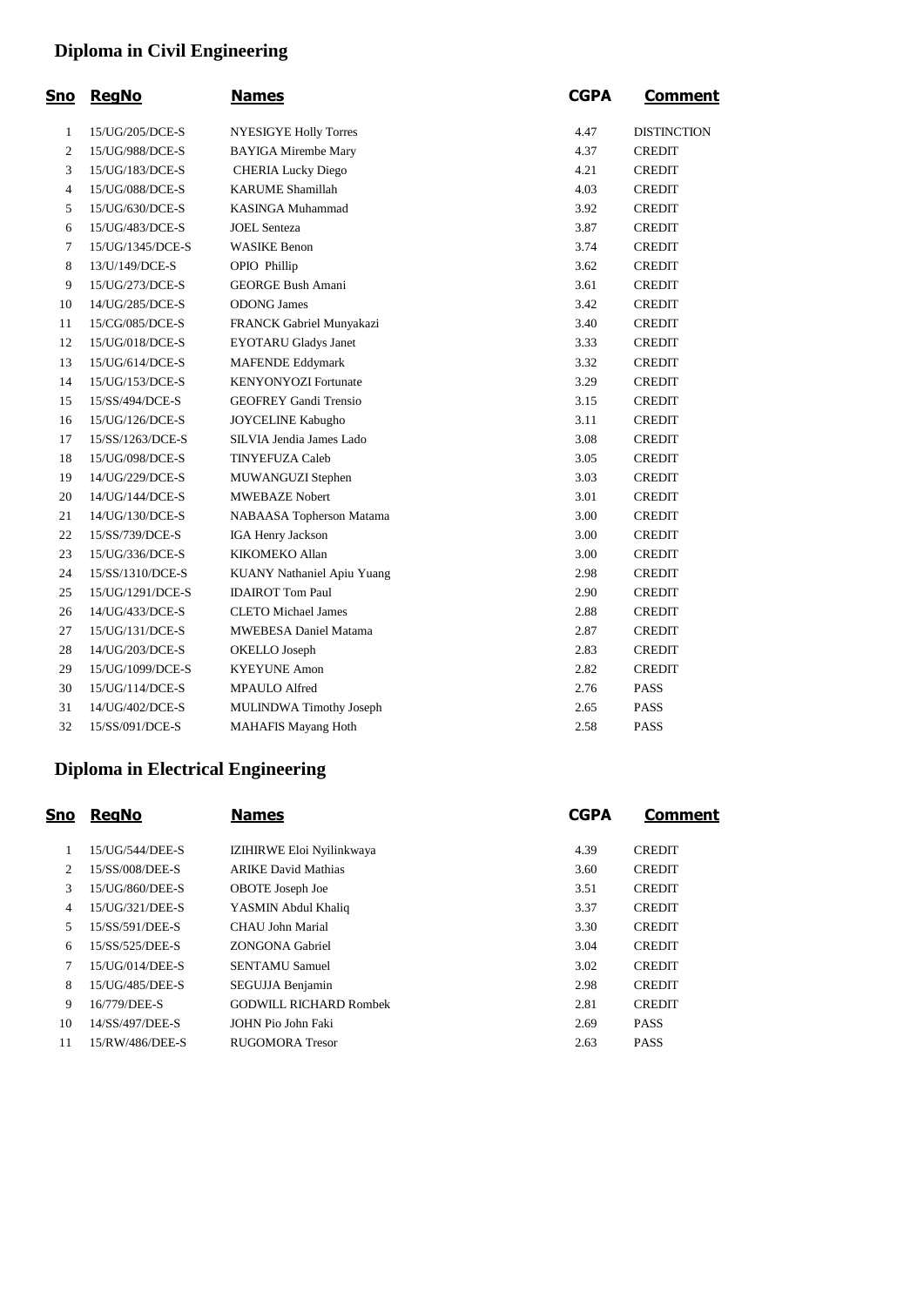## **Diploma in Civil Engineering**

| <u>Sno</u>               | <b>RegNo</b>     | <b>Names</b>                 | <b>CGPA</b> | <b>Comment</b>     |
|--------------------------|------------------|------------------------------|-------------|--------------------|
| $\mathbf{1}$             | 15/UG/205/DCE-S  | <b>NYESIGYE Holly Torres</b> | 4.47        | <b>DISTINCTION</b> |
| $\mathfrak{2}$           | 15/UG/988/DCE-S  | <b>BAYIGA Mirembe Mary</b>   | 4.37        | <b>CREDIT</b>      |
| 3                        | 15/UG/183/DCE-S  | <b>CHERIA Lucky Diego</b>    | 4.21        | <b>CREDIT</b>      |
| $\overline{\mathcal{A}}$ | 15/UG/088/DCE-S  | <b>KARUME Shamillah</b>      | 4.03        | <b>CREDIT</b>      |
| 5                        | 15/UG/630/DCE-S  | <b>KASINGA Muhammad</b>      | 3.92        | <b>CREDIT</b>      |
| 6                        | 15/UG/483/DCE-S  | <b>JOEL</b> Senteza          | 3.87        | <b>CREDIT</b>      |
| $\overline{7}$           | 15/UG/1345/DCE-S | <b>WASIKE Benon</b>          | 3.74        | <b>CREDIT</b>      |
| 8                        | 13/U/149/DCE-S   | OPIO Phillip                 | 3.62        | <b>CREDIT</b>      |
| 9                        | 15/UG/273/DCE-S  | <b>GEORGE Bush Amani</b>     | 3.61        | <b>CREDIT</b>      |
| 10                       | 14/UG/285/DCE-S  | <b>ODONG James</b>           | 3.42        | <b>CREDIT</b>      |
| 11                       | 15/CG/085/DCE-S  | FRANCK Gabriel Munyakazi     | 3.40        | <b>CREDIT</b>      |
| 12                       | 15/UG/018/DCE-S  | <b>EYOTARU Gladys Janet</b>  | 3.33        | <b>CREDIT</b>      |
| 13                       | 15/UG/614/DCE-S  | <b>MAFENDE Eddymark</b>      | 3.32        | <b>CREDIT</b>      |
| 14                       | 15/UG/153/DCE-S  | <b>KENYONYOZI</b> Fortunate  | 3.29        | <b>CREDIT</b>      |
| 15                       | 15/SS/494/DCE-S  | <b>GEOFREY Gandi Trensio</b> | 3.15        | <b>CREDIT</b>      |
| 16                       | 15/UG/126/DCE-S  | <b>JOYCELINE Kabugho</b>     | 3.11        | <b>CREDIT</b>      |
| 17                       | 15/SS/1263/DCE-S | SILVIA Jendia James Lado     | 3.08        | <b>CREDIT</b>      |
| 18                       | 15/UG/098/DCE-S  | <b>TINYEFUZA Caleb</b>       | 3.05        | <b>CREDIT</b>      |
| 19                       | 14/UG/229/DCE-S  | MUWANGUZI Stephen            | 3.03        | <b>CREDIT</b>      |
| 20                       | 14/UG/144/DCE-S  | <b>MWEBAZE Nobert</b>        | 3.01        | <b>CREDIT</b>      |
| 21                       | 14/UG/130/DCE-S  | NABAASA Topherson Matama     | 3.00        | <b>CREDIT</b>      |
| 22                       | 15/SS/739/DCE-S  | <b>IGA Henry Jackson</b>     | 3.00        | <b>CREDIT</b>      |
| 23                       | 15/UG/336/DCE-S  | KIKOMEKO Allan               | 3.00        | <b>CREDIT</b>      |
| 24                       | 15/SS/1310/DCE-S | KUANY Nathaniel Apiu Yuang   | 2.98        | <b>CREDIT</b>      |
| 25                       | 15/UG/1291/DCE-S | <b>IDAIROT</b> Tom Paul      | 2.90        | <b>CREDIT</b>      |
| 26                       | 14/UG/433/DCE-S  | <b>CLETO</b> Michael James   | 2.88        | <b>CREDIT</b>      |
| 27                       | 15/UG/131/DCE-S  | <b>MWEBESA Daniel Matama</b> | 2.87        | <b>CREDIT</b>      |
| 28                       | 14/UG/203/DCE-S  | OKELLO Joseph                | 2.83        | <b>CREDIT</b>      |
| 29                       | 15/UG/1099/DCE-S | <b>KYEYUNE Amon</b>          | 2.82        | <b>CREDIT</b>      |
| 30                       | 15/UG/114/DCE-S  | <b>MPAULO Alfred</b>         | 2.76        | <b>PASS</b>        |
| 31                       | 14/UG/402/DCE-S  | MULINDWA Timothy Joseph      | 2.65        | <b>PASS</b>        |
| 32                       | 15/SS/091/DCE-S  | <b>MAHAFIS Mayang Hoth</b>   | 2.58        | <b>PASS</b>        |

### **Diploma in Electrical Engineering**

| <u>Sno</u>     | <b>RegNo</b>    | <b>Names</b>                  | <b>CGPA</b> | <b>Comment</b> |
|----------------|-----------------|-------------------------------|-------------|----------------|
|                | 15/UG/544/DEE-S | IZIHIRWE Eloi Nyilinkwaya     | 4.39        | <b>CREDIT</b>  |
| 2              | 15/SS/008/DEE-S | <b>ARIKE David Mathias</b>    | 3.60        | <b>CREDIT</b>  |
| 3              | 15/UG/860/DEE-S | OBOTE Joseph Joe              | 3.51        | <b>CREDIT</b>  |
| $\overline{4}$ | 15/UG/321/DEE-S | YASMIN Abdul Khaliq           | 3.37        | <b>CREDIT</b>  |
| 5              | 15/SS/591/DEE-S | CHAU John Marial              | 3.30        | <b>CREDIT</b>  |
| 6              | 15/SS/525/DEE-S | ZONGONA Gabriel               | 3.04        | <b>CREDIT</b>  |
| 7              | 15/UG/014/DEE-S | <b>SENTAMU Samuel</b>         | 3.02        | <b>CREDIT</b>  |
| 8              | 15/UG/485/DEE-S | SEGUJJA Benjamin              | 2.98        | <b>CREDIT</b>  |
| 9              | 16/779/DEE-S    | <b>GODWILL RICHARD Rombek</b> | 2.81        | <b>CREDIT</b>  |
| 10             | 14/SS/497/DEE-S | JOHN Pio John Faki            | 2.69        | <b>PASS</b>    |
| 11             | 15/RW/486/DEE-S | RUGOMORA Tresor               | 2.63        | <b>PASS</b>    |
|                |                 |                               |             |                |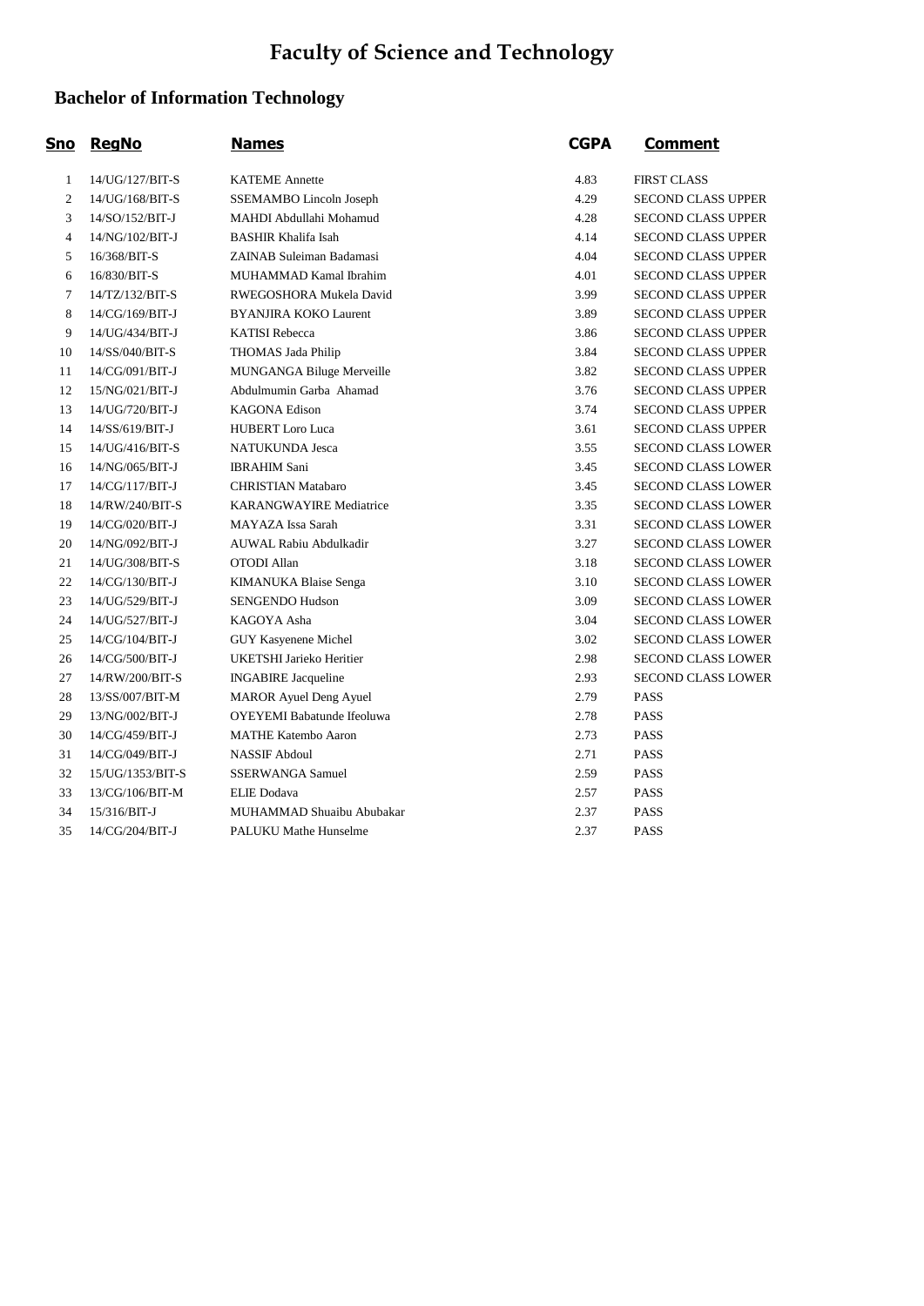# **Faculty of Science and Technology**

## **Bachelor of Information Technology**

| <u>Sno</u>     | <b>RegNo</b>     | <b>Names</b>                      | <b>CGPA</b> | <b>Comment</b>            |
|----------------|------------------|-----------------------------------|-------------|---------------------------|
| 1              | 14/UG/127/BIT-S  | <b>KATEME Annette</b>             | 4.83        | <b>FIRST CLASS</b>        |
| $\overline{2}$ | 14/UG/168/BIT-S  | SSEMAMBO Lincoln Joseph           | 4.29        | <b>SECOND CLASS UPPER</b> |
| 3              | 14/SO/152/BIT-J  | MAHDI Abdullahi Mohamud           | 4.28        | <b>SECOND CLASS UPPER</b> |
| 4              | 14/NG/102/BIT-J  | <b>BASHIR Khalifa Isah</b>        | 4.14        | <b>SECOND CLASS UPPER</b> |
| 5              | 16/368/BIT-S     | ZAINAB Suleiman Badamasi          | 4.04        | <b>SECOND CLASS UPPER</b> |
| 6              | 16/830/BIT-S     | MUHAMMAD Kamal Ibrahim            | 4.01        | <b>SECOND CLASS UPPER</b> |
| 7              | 14/TZ/132/BIT-S  | RWEGOSHORA Mukela David           | 3.99        | <b>SECOND CLASS UPPER</b> |
| 8              | 14/CG/169/BIT-J  | <b>BYANJIRA KOKO Laurent</b>      | 3.89        | <b>SECOND CLASS UPPER</b> |
| 9              | 14/UG/434/BIT-J  | <b>KATISI Rebecca</b>             | 3.86        | <b>SECOND CLASS UPPER</b> |
| 10             | 14/SS/040/BIT-S  | THOMAS Jada Philip                | 3.84        | <b>SECOND CLASS UPPER</b> |
| 11             | 14/CG/091/BIT-J  | MUNGANGA Biluge Merveille         | 3.82        | <b>SECOND CLASS UPPER</b> |
| 12             | 15/NG/021/BIT-J  | Abdulmumin Garba Ahamad           | 3.76        | <b>SECOND CLASS UPPER</b> |
| 13             | 14/UG/720/BIT-J  | <b>KAGONA Edison</b>              | 3.74        | <b>SECOND CLASS UPPER</b> |
| 14             | 14/SS/619/BIT-J  | <b>HUBERT</b> Loro Luca           | 3.61        | <b>SECOND CLASS UPPER</b> |
| 15             | 14/UG/416/BIT-S  | NATUKUNDA Jesca                   | 3.55        | <b>SECOND CLASS LOWER</b> |
| 16             | 14/NG/065/BIT-J  | <b>IBRAHIM Sani</b>               | 3.45        | <b>SECOND CLASS LOWER</b> |
| 17             | 14/CG/117/BIT-J  | <b>CHRISTIAN Matabaro</b>         | 3.45        | <b>SECOND CLASS LOWER</b> |
| 18             | 14/RW/240/BIT-S  | <b>KARANGWAYIRE Mediatrice</b>    | 3.35        | <b>SECOND CLASS LOWER</b> |
| 19             | 14/CG/020/BIT-J  | MAYAZA Issa Sarah                 | 3.31        | <b>SECOND CLASS LOWER</b> |
| 20             | 14/NG/092/BIT-J  | AUWAL Rabiu Abdulkadir            | 3.27        | <b>SECOND CLASS LOWER</b> |
| 21             | 14/UG/308/BIT-S  | <b>OTODI</b> Allan                | 3.18        | <b>SECOND CLASS LOWER</b> |
| 22             | 14/CG/130/BIT-J  | KIMANUKA Blaise Senga             | 3.10        | <b>SECOND CLASS LOWER</b> |
| 23             | 14/UG/529/BIT-J  | <b>SENGENDO Hudson</b>            | 3.09        | <b>SECOND CLASS LOWER</b> |
| 24             | 14/UG/527/BIT-J  | KAGOYA Asha                       | 3.04        | <b>SECOND CLASS LOWER</b> |
| 25             | 14/CG/104/BIT-J  | <b>GUY Kasyenene Michel</b>       | 3.02        | SECOND CLASS LOWER        |
| 26             | 14/CG/500/BIT-J  | UKETSHI Jarieko Heritier          | 2.98        | <b>SECOND CLASS LOWER</b> |
| 27             | 14/RW/200/BIT-S  | <b>INGABIRE</b> Jacqueline        | 2.93        | <b>SECOND CLASS LOWER</b> |
| 28             | 13/SS/007/BIT-M  | <b>MAROR Ayuel Deng Ayuel</b>     | 2.79        | <b>PASS</b>               |
| 29             | 13/NG/002/BIT-J  | <b>OYEYEMI</b> Babatunde Ifeoluwa | 2.78        | <b>PASS</b>               |
| 30             | 14/CG/459/BIT-J  | <b>MATHE Katembo Aaron</b>        | 2.73        | <b>PASS</b>               |
| 31             | 14/CG/049/BIT-J  | <b>NASSIF Abdoul</b>              | 2.71        | <b>PASS</b>               |
| 32             | 15/UG/1353/BIT-S | <b>SSERWANGA Samuel</b>           | 2.59        | <b>PASS</b>               |
| 33             | 13/CG/106/BIT-M  | <b>ELIE</b> Dodava                | 2.57        | <b>PASS</b>               |
| 34             | $15/316/BIT-J$   | MUHAMMAD Shuaibu Abubakar         | 2.37        | <b>PASS</b>               |
| 35             | 14/CG/204/BIT-J  | <b>PALUKU Mathe Hunselme</b>      | 2.37        | <b>PASS</b>               |